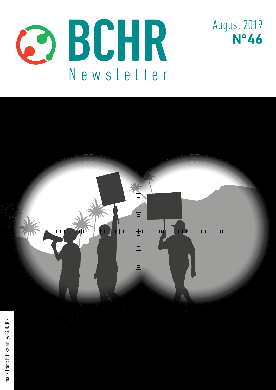



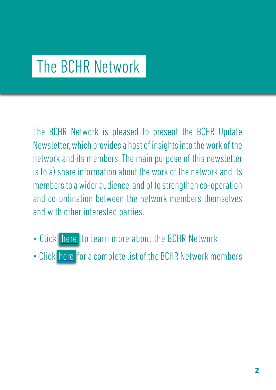# The BCHR Network

The BCHR Network is pleased to present the BCHR Update Newsletter, which provides a host of insights into the work of the network and its members. The main purpose of this newsletter is to a) share information about the work of the network and its members to a wider audience, and b) to strengthen co-operation and co-ordination between the network members themselves and with other interested parties.

- Click [here](http://www.networkbchr.org/) to learn more about the BCHR Network
- Click [here](http://www.networkbchr.org/#!join-the-network/c24vq) for a complete list of the BCHR Network members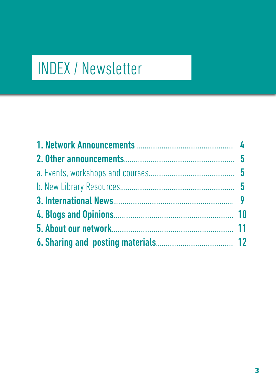# INDEX / Newsletter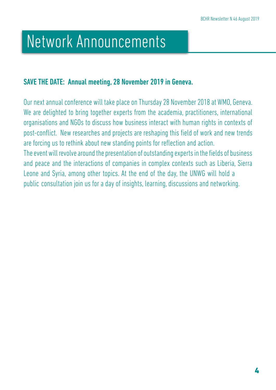# Network Announcements

### SAVE THE DATE: Annual meeting, 28 November 2019 in Geneva.

Our next annual conference will take place on Thursday 28 November 2018 at WMO, Geneva. We are delighted to bring together experts from the academia, practitioners, international organisations and NGOs to discuss how business interact with human rights in contexts of post-conflict. New researches and projects are reshaping this field of work and new trends are forcing us to rethink about new standing points for reflection and action. The event will revolve around the presentation of outstanding experts in the fields of business and peace and the interactions of companies in complex contexts such as Liberia, Sierra Leone and Syria, among other topics. At the end of the day, the UNWG will hold a public consultation join us for a day of insights, learning, discussions and networking.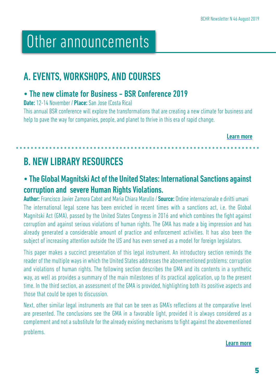# Other announcements

## A. EVENTS, WORKSHOPS, AND COURSES

## • The new climate for Business - BSR Conference 2019

Date: 12-14 November / Place: San Jose (Costa Rica)

This annual BSR conference will explore the transformations that are creating a new climate for business and help to pave the way for companies, people, and planet to thrive in this era of rapid change.

[Learn more](https://bit.ly/2zd07jO)

# B. NEW LIBRARY RESOURCES

## • The Global Magnitski Act of the United States: International Sanctions against corruption and severe Human Rights Violations.

Author: Francisco Javier Zamora Cabot and Maria Chiara Marullo / Source: Ordine internazionale e diritti umani The international legal scene has been enriched in recent times with a sanctions act, i.e. the Global Magnitski Act (GMA), passed by the United States Congress in 2016 and which combines the fight against corruption and against serious violations of human rights. The GMA has made a big impression and has already generated a considerable amount of practice and enforcement activities. It has also been the subject of increasing attention outside the US and has even served as a model for foreign legislators.

This paper makes a succinct presentation of this legal instrument. An introductory section reminds the reader of the multiple ways in which the United States addresses the abovementioned problems: corruption and violations of human rights. The following section describes the GMA and its contents in a synthetic way, as well as provides a summary of the main milestones of its practical application, up to the present time. In the third section, an assessment of the GMA is provided, highlighting both its positive aspects and those that could be open to discussion.

Next, other similar legal instruments are that can be seen as GMA's reflections at the comparative level are presented. The conclusions see the GMA in a favorable light, provided it is always considered as a complement and not a substitute for the already existing mechanisms to fight against the abovementioned problems.

[Learn more](https://bit.ly/2zdNmp5)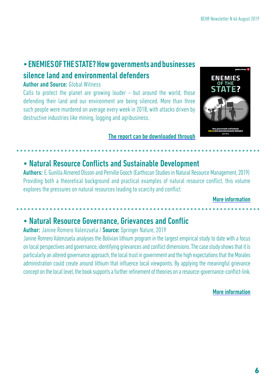## • ENEMIES OF THE STATE? How governments and businesses silence land and environmental defenders

#### Author and Source: Global Witness

Calls to protect the planet are growing louder – but around the world, those defending their land and our environment are being silenced. More than three such people were murdered on average every week in 2018, with attacks driven by destructive industries like mining, logging and agribusiness.

### [The report can be downloaded through](https://bit.ly/2GDDQQk)

## • Natural Resource Conflicts and Sustainable Development

Authors: E. Gunilla Almered Olsson and Pernille Gooch (Earthscan Studies in Natural Resource Management, 2019) Providing both a theoretical background and practical examples of natural resource conflict, this volume explores the pressures on natural resources leading to scarcity and conflict

#### [More information](https://www.crcpress.com/Natural-Resource-Conflicts-and-Sustainable-Development/Olsson-Gooch/p/book/9781138576896?)

## • Natural Resource Governance, Grievances and Conflic

### Author: Janine Romero Valenzuela / Source: Springer Nature, 2019

Janine Romero Valenzuela analyses the Bolivian lithium program in the largest empirical study to date with a focus on local perspectives and governance, identifying grievances and conflict dimensions. The case study shows that it is particularly an altered governance approach, the local trust in government and the high expectations that the Morales administration could create around lithium that influence local viewpoints. By applying the meaningful grievance concept on the local level, the book supports a further refinement of theories on a resource-governance-conflict-link.

#### [More information](https://link.springer.com/book/10.1007%2F978-3-658-27236-4?#about)

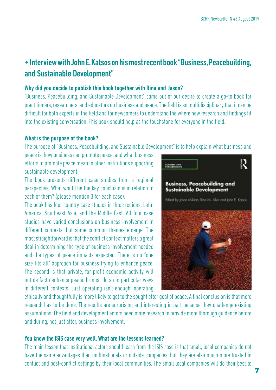## • Interview with John E. Katsos on his most recent book "Business, Peacebuilding, and Sustainable Development"

#### Why did you decide to publish this book together with Rina and Jason?

"Business, Peacebuilding, and Sustainable Development" came out of our desire to create a go-to book for practitioners, researchers, and educators on business and peace. The field is so multidisciplinary that it can be difficult for both experts in the field and for newcomers to understand the where new research and findings fit into the existing conversation. This book should help as the touchstone for everyone in the field.

#### What is the purpose of the book?

The purpose of "Business, Peacebuilding, and Sustainable Development" is to help explain what business and

peace is, how business can promote peace, and what business efforts to promote peace mean to other institutions supporting sustainable development.

The book presents different case studies from a regional perspective. What would be the key conclusions in relation to each of them? (please mention 3 for each case).

The book has four country case studies in three regions: Latin America, Southeast Asia, and the Middle East. All four case studies have varied conclusions on business involvement in different contexts, but some common themes emerge. The most straightforward is that the conflict context matters a great deal in determining the type of business involvement needed and the types of peace impacts expected. There is no "one size fits all" approach for business trying to enhance peace. The second is that private, for-profit economic activity will not de facto enhance peace. It must do so in particular ways in different contexts. Just operating isn't enough; operating



ethically and thoughtfully is more likely to get to the sought after goal of peace. A final conclusion is that more research has to be done. The results are surprising and interesting in part because they challenge existing assumptions. The field and development actors need more research to provide more thorough guidance before and during, not just after, business involvement.

#### You know the ISIS case very well. What are the lessons learned?

The main lesson that institutional actors should learn from the ISIS case is that small, local companies do not have the same advantages than multinationals or outside companies, but they are also much more trusted in conflict and post-conflict settings by their local communities. The small local companies will do their best to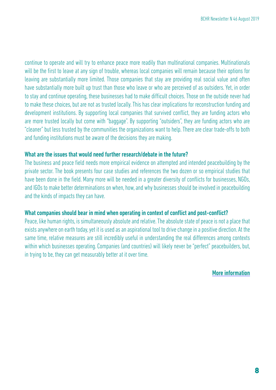continue to operate and will try to enhance peace more readily than multinational companies. Multinationals will be the first to leave at any sign of trouble, whereas local companies will remain because their options for leaving are substantially more limited. Those companies that stay are providing real social value and often have substantially more built up trust than those who leave or who are perceived of as outsiders. Yet, in order to stay and continue operating, these businesses had to make difficult choices. Those on the outside never had to make these choices, but are not as trusted locally. This has clear implications for reconstruction funding and development institutions. By supporting local companies that survived conflict, they are funding actors who are more trusted locally but come with "baggage". By supporting "outsiders", they are funding actors who are "cleaner" but less trusted by the communities the organizations want to help. There are clear trade-offs to both and funding institutions must be aware of the decisions they are making.

#### What are the issues that would need further research/debate in the future?

The business and peace field needs more empirical evidence on attempted and intended peacebuilding by the private sector. The book presents four case studies and references the two dozen or so empirical studies that have been done in the field. Many more will be needed in a greater diversity of conflicts for businesses, NGOs, and IGOs to make better determinations on when, how, and why businesses should be involved in peacebuilding and the kinds of impacts they can have.

#### What companies should bear in mind when operating in context of conflict and post-conflict?

Peace, like human rights, is simultaneously absolute and relative. The absolute state of peace is not a place that exists anywhere on earth today, yet it is used as an aspirational tool to drive change in a positive direction. At the same time, relative measures are still incredibly useful in understanding the real differences among contexts within which businesses operating. Companies (and countries) will likely never be "perfect" peacebuilders, but, in trying to be, they can get measurably better at it over time.

[More information](https://bit.ly/2ZzOsXl)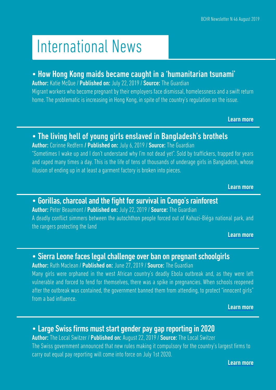# International News

### • How Hong Kong maids became caught in a 'humanitarian tsunami'

Author: Katie McQue / Published on: July 22, 2019 / Source: The Guardian Migrant workers who become pregnant by their employers face dismissal, homelessness and a swift return home. The problematic is increasing in Hong Kong, in spite of the country's regulation on the issue.

[Learn more](https://bit.ly/2LzShsG)

## • The living hell of young girls enslaved in Bangladesh's brothels

Author: Corinne Redfern / Published on: July 6, 2019 / Source: The Guardian "Sometimes I wake up and I don't understand why I'm not dead yet". Sold by traffickers, trapped for years and raped many times a day. This is the life of tens of thousands of underage girls in Bangladesh, whose illusion of ending up in at least a garment factory is broken into pieces.

[Learn more](https://bit.ly/2YDK35O)

### • Gorillas, charcoal and the fight for survival in Congo's rainforest

Author: Peter Beaumont / Published on: July 22, 2019 / Source: The Guardian A deadly conflict simmers between the autochthon people forced out of Kahuzi-Biéga national park, and the rangers protecting the land

[Learn more](https://bit.ly/2JHCZ34)

### • Sierra Leone faces legal challenge over ban on pregnant schoolgirls

Author: Ruth Maclean / Published on: June 27, 2019 / Source: The Guardian

Many girls were orphaned in the west African country's deadly Ebola outbreak and, as they were left vulnerable and forced to fend for themselves, there was a spike in pregnancies. When schools reopened after the outbreak was contained, the government banned them from attending, to protect "innocent girls" from a bad influence.

[Learn more](https://bit.ly/2yrwk6E)

## • Large Swiss firms must start gender pay gap reporting in 2020

Author: The Local Switzer / Published on: August 22, 2019 / Source: The Local Switzer The Swiss government announced that new rules making it compulsory for the country's largest firms to carry out equal pay reporting will come into force on July 1st 2020.

[Learn more](https://bit.ly/2NvSb5I)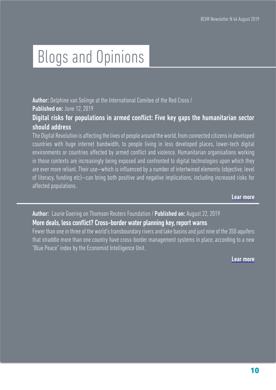# Blogs and Opinions

Author: Delphine van Solinge at the International Comitee of the Red Cross / Published on: June 12, 2019

Digital risks for populations in armed conflict: Five key gaps the humanitarian sector should address

The Digital Revolution is affecting the lives of people around the world, from connected citizens in developed countries with huge internet bandwidth, to people living in less developed places, lower-tech digital environments or countries affected by armed conflict and violence. Humanitarian organisations working in those contexts are increasingly being exposed and confronted to digital technologies upon which they are ever more reliant. Their use—which is influenced by a number of intertwined elements (objective, level of literacy, funding etc)—can bring both positive and negative implications, including increased risks for affected populations.

Lear more

Author: [Laurie Goering on Thomson Reuters Foundation /](https://tmsnrt.rs/322G6ce ) Published on: August 22, 2019

#### [More deals, less conflict? Cross-border water planning key, report warns](https://tmsnrt.rs/322G6ce )

[Fewer than one in three of the world's transboundary rivers and lake basins and just nine of the 350 aquifers](https://tmsnrt.rs/322G6ce ) [that straddle more than one country have cross-border management systems in place, according to a new](https://tmsnrt.rs/322G6ce ) ["Blue Peace" index by the Economist Intelligence Unit.](https://tmsnrt.rs/322G6ce )

[Lear more](https://tmsnrt.rs/322G6ce )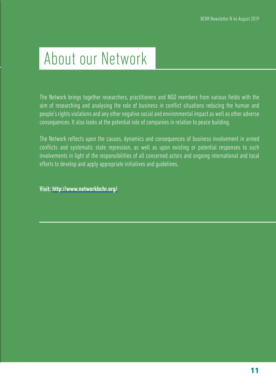# About our Network

The Network brings together researchers, practitioners and NGO members from various fields with the aim of researching and analysing the role of business in conflict situations reducing the human and people's rights violations and any other negative social and environmental impact as well as other adverse consequences. It also looks at the potential role of companies in relation to peace building.

The Network reflects upon the causes, dynamics and consequences of business involvement in armed conflicts and systematic state repression, as well as upon existing or potential responses to such involvements in light of the responsibilities of all concerned actors and ongoing international and local efforts to develop and apply appropriate initiatives and guidelines.

Visit: <http://www.networkbchr.org/>